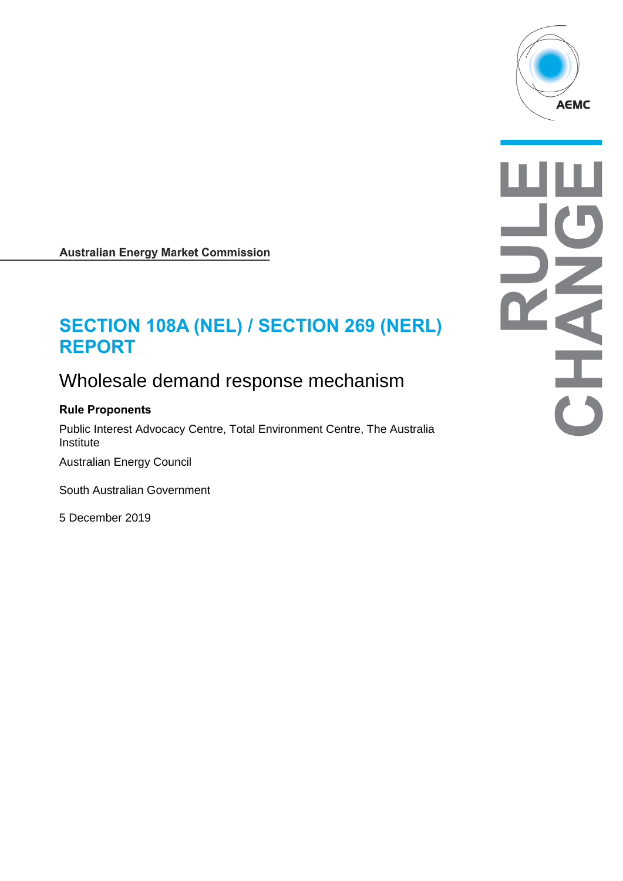

**Australian Energy Market Commission** 

# **SECTION 108A (NEL) / SECTION 269 (NERL) REPORT**

## Wholesale demand response mechanism

## **Rule Proponents**

Public Interest Advocacy Centre, Total Environment Centre, The Australia Institute

Australian Energy Council

South Australian Government

5 December 2019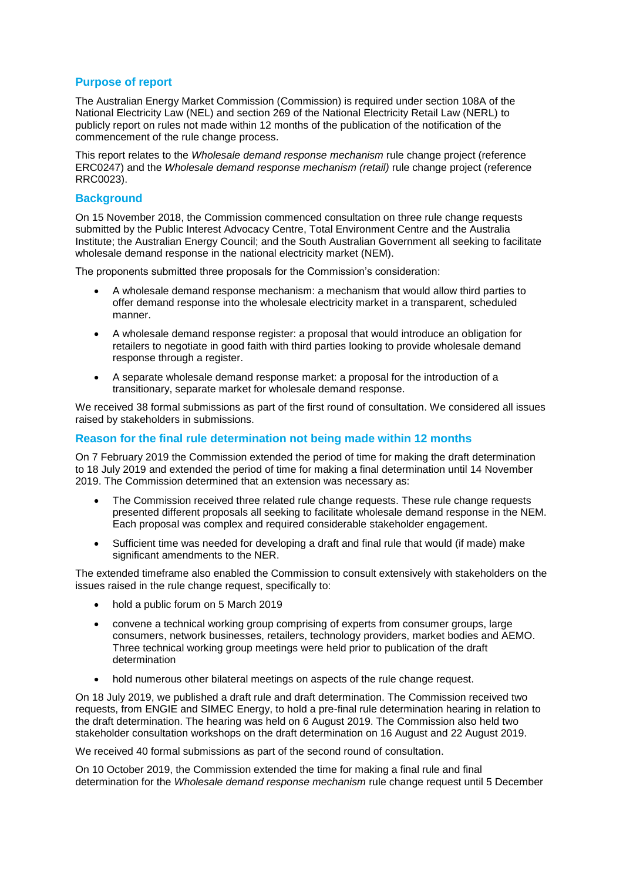### **Purpose of report**

The Australian Energy Market Commission (Commission) is required under section 108A of the National Electricity Law (NEL) and section 269 of the National Electricity Retail Law (NERL) to publicly report on rules not made within 12 months of the publication of the notification of the commencement of the rule change process.

This report relates to the *Wholesale demand response mechanism* rule change project (reference ERC0247) and the *Wholesale demand response mechanism (retail)* rule change project (reference RRC0023).

#### **Background**

On 15 November 2018, the Commission commenced consultation on three rule change requests submitted by the Public Interest Advocacy Centre, Total Environment Centre and the Australia Institute; the Australian Energy Council; and the South Australian Government all seeking to facilitate wholesale demand response in the national electricity market (NEM).

The proponents submitted three proposals for the Commission's consideration:

- A wholesale demand response mechanism: a mechanism that would allow third parties to offer demand response into the wholesale electricity market in a transparent, scheduled manner.
- A wholesale demand response register: a proposal that would introduce an obligation for retailers to negotiate in good faith with third parties looking to provide wholesale demand response through a register.
- A separate wholesale demand response market: a proposal for the introduction of a transitionary, separate market for wholesale demand response.

We received 38 formal submissions as part of the first round of consultation. We considered all issues raised by stakeholders in submissions.

#### **Reason for the final rule determination not being made within 12 months**

On 7 February 2019 the Commission extended the period of time for making the draft determination to 18 July 2019 and extended the period of time for making a final determination until 14 November 2019. The Commission determined that an extension was necessary as:

- The Commission received three related rule change requests. These rule change requests presented different proposals all seeking to facilitate wholesale demand response in the NEM. Each proposal was complex and required considerable stakeholder engagement.
- Sufficient time was needed for developing a draft and final rule that would (if made) make significant amendments to the NER.

The extended timeframe also enabled the Commission to consult extensively with stakeholders on the issues raised in the rule change request, specifically to:

- hold a public forum on 5 March 2019
- convene a technical working group comprising of experts from consumer groups, large consumers, network businesses, retailers, technology providers, market bodies and AEMO. Three technical working group meetings were held prior to publication of the draft determination
- hold numerous other bilateral meetings on aspects of the rule change request.

On 18 July 2019, we published a draft rule and draft determination. The Commission received two requests, from ENGIE and SIMEC Energy, to hold a pre-final rule determination hearing in relation to the draft determination. The hearing was held on 6 August 2019. The Commission also held two stakeholder consultation workshops on the draft determination on 16 August and 22 August 2019.

We received 40 formal submissions as part of the second round of consultation.

On 10 October 2019, the Commission extended the time for making a final rule and final determination for the *Wholesale demand response mechanism* rule change request until 5 December